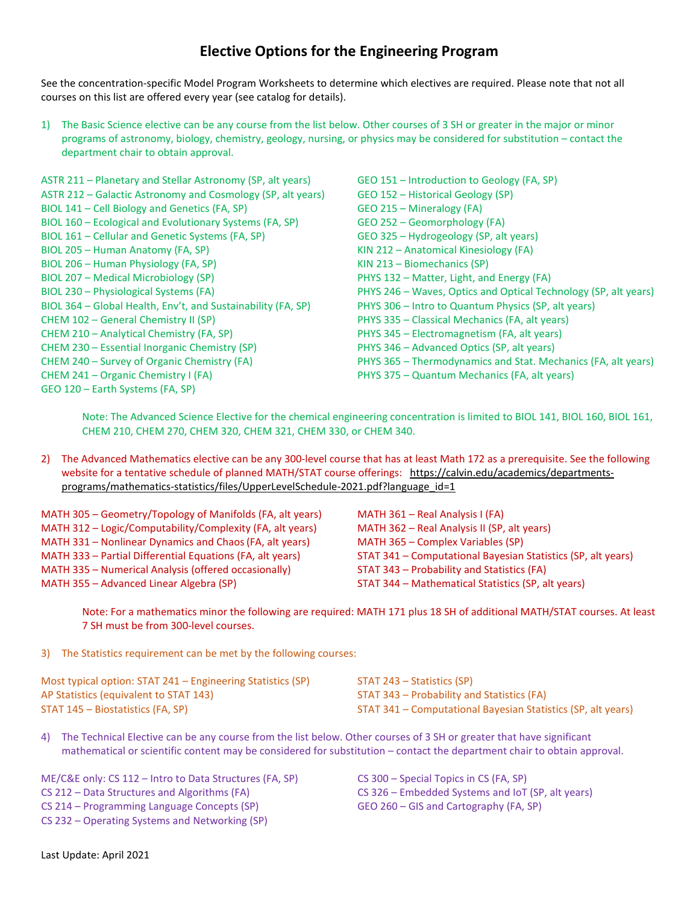## **Elective Options for the Engineering Program**

See the concentration-specific Model Program Worksheets to determine which electives are required. Please note that not all courses on this list are offered every year (see catalog for details).

1) The Basic Science elective can be any course from the list below. Other courses of 3 SH or greater in the major or minor programs of astronomy, biology, chemistry, geology, nursing, or physics may be considered for substitution – contact the department chair to obtain approval.

ASTR 211 – Planetary and Stellar Astronomy (SP, alt years) ASTR 212 – Galactic Astronomy and Cosmology (SP, alt years) BIOL 141 – Cell Biology and Genetics (FA, SP) BIOL 160 – Ecological and Evolutionary Systems (FA, SP) BIOL 161 – Cellular and Genetic Systems (FA, SP) BIOL 205 – Human Anatomy (FA, SP) BIOL 206 – Human Physiology (FA, SP) BIOL 207 – Medical Microbiology (SP) BIOL 230 – Physiological Systems (FA) BIOL 364 – Global Health, Env't, and Sustainability (FA, SP) CHEM 102 – General Chemistry II (SP) CHEM 210 – Analytical Chemistry (FA, SP) CHEM 230 – Essential Inorganic Chemistry (SP) CHEM 240 – Survey of Organic Chemistry (FA) CHEM 241 – Organic Chemistry I (FA) GEO 120 – Earth Systems (FA, SP)

GEO 151 – Introduction to Geology (FA, SP) GEO 152 – Historical Geology (SP) GEO 215 – Mineralogy (FA) GEO 252 – Geomorphology (FA) GEO 325 – Hydrogeology (SP, alt years) KIN 212 – Anatomical Kinesiology (FA) KIN 213 – Biomechanics (SP) PHYS 132 – Matter, Light, and Energy (FA) PHYS 246 – Waves, Optics and Optical Technology (SP, alt years) PHYS 306 – Intro to Quantum Physics (SP, alt years) PHYS 335 – Classical Mechanics (FA, alt years) PHYS 345 – Electromagnetism (FA, alt years) PHYS 346 – Advanced Optics (SP, alt years) PHYS 365 – Thermodynamics and Stat. Mechanics (FA, alt years) PHYS 375 – Quantum Mechanics (FA, alt years)

Note: The Advanced Science Elective for the chemical engineering concentration is limited to BIOL 141, BIOL 160, BIOL 161, CHEM 210, CHEM 270, CHEM 320, CHEM 321, CHEM 330, or CHEM 340.

2) The Advanced Mathematics elective can be any 300-level course that has at least Math 172 as a prerequisite. See the following website for a tentative schedule of planned MATH/STAT course offerings: [https://calvin.edu/academics/departments](https://calvin.edu/academics/departments-programs/mathematics-statistics/files/UpperLevelSchedule-2021.pdf?language_id=1)[programs/mathematics-statistics/files/UpperLevelSchedule-2021.pdf?language\\_id=1](https://calvin.edu/academics/departments-programs/mathematics-statistics/files/UpperLevelSchedule-2021.pdf?language_id=1)

| MATH 305 – Geometry/Topology of Manifolds (FA, alt years) | MATH 361 - Real Analysis I (FA)                              |
|-----------------------------------------------------------|--------------------------------------------------------------|
| MATH 312 - Logic/Computability/Complexity (FA, alt years) | MATH 362 - Real Analysis II (SP, alt years)                  |
| MATH 331 – Nonlinear Dynamics and Chaos (FA, alt years)   | MATH 365 - Complex Variables (SP)                            |
| MATH 333 - Partial Differential Equations (FA, alt years) | STAT 341 – Computational Bayesian Statistics (SP, alt years) |
| MATH 335 - Numerical Analysis (offered occasionally)      | STAT 343 - Probability and Statistics (FA)                   |
| MATH 355 - Advanced Linear Algebra (SP)                   | STAT 344 - Mathematical Statistics (SP, alt years)           |

Note: For a mathematics minor the following are required: MATH 171 plus 18 SH of additional MATH/STAT courses. At least 7 SH must be from 300-level courses.

3) The Statistics requirement can be met by the following courses:

| Most typical option: STAT 241 – Engineering Statistics (SP) | STAT 243 – Statistics (SP)                                   |
|-------------------------------------------------------------|--------------------------------------------------------------|
| AP Statistics (equivalent to STAT 143)                      | STAT 343 – Probability and Statistics (FA)                   |
| STAT 145 – Biostatistics (FA, SP)                           | STAT 341 – Computational Bayesian Statistics (SP, alt years) |

4) The Technical Elective can be any course from the list below. Other courses of 3 SH or greater that have significant mathematical or scientific content may be considered for substitution – contact the department chair to obtain approval.

ME/C&E only: CS 112 – Intro to Data Structures (FA, SP) CS 212 – Data Structures and Algorithms (FA) CS 214 – Programming Language Concepts (SP) CS 232 – Operating Systems and Networking (SP)

CS 300 – Special Topics in CS (FA, SP) CS 326 – Embedded Systems and IoT (SP, alt years) GEO 260 – GIS and Cartography (FA, SP)